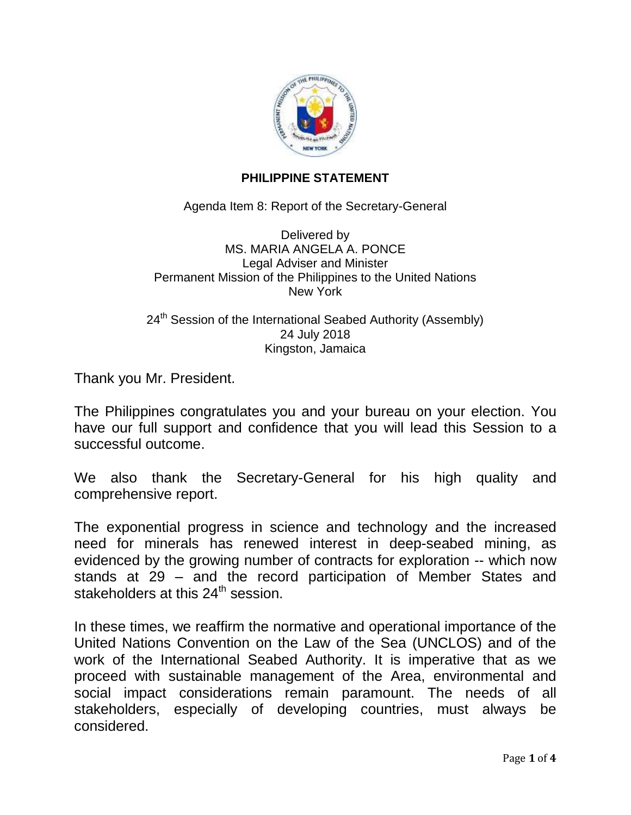

## **PHILIPPINE STATEMENT**

Agenda Item 8: Report of the Secretary-General

Delivered by MS. MARIA ANGELA A. PONCE Legal Adviser and Minister Permanent Mission of the Philippines to the United Nations New York

24<sup>th</sup> Session of the International Seabed Authority (Assembly) 24 July 2018 Kingston, Jamaica

Thank you Mr. President.

The Philippines congratulates you and your bureau on your election. You have our full support and confidence that you will lead this Session to a successful outcome.

We also thank the Secretary-General for his high quality and comprehensive report.

The exponential progress in science and technology and the increased need for minerals has renewed interest in deep-seabed mining, as evidenced by the growing number of contracts for exploration -- which now stands at 29 – and the record participation of Member States and stakeholders at this  $24<sup>th</sup>$  session.

In these times, we reaffirm the normative and operational importance of the United Nations Convention on the Law of the Sea (UNCLOS) and of the work of the International Seabed Authority. It is imperative that as we proceed with sustainable management of the Area, environmental and social impact considerations remain paramount. The needs of all stakeholders, especially of developing countries, must always be considered.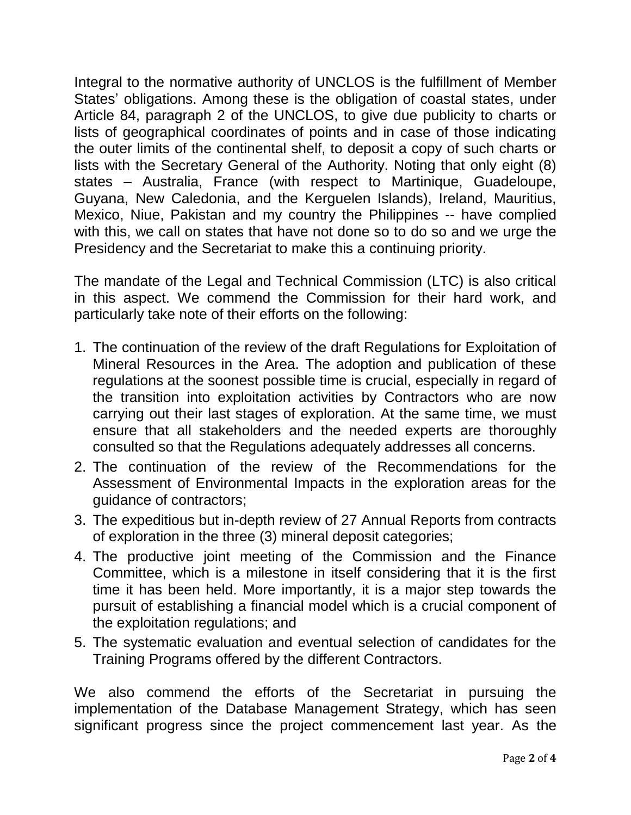Integral to the normative authority of UNCLOS is the fulfillment of Member States' obligations. Among these is the obligation of coastal states, under Article 84, paragraph 2 of the UNCLOS, to give due publicity to charts or lists of geographical coordinates of points and in case of those indicating the outer limits of the continental shelf, to deposit a copy of such charts or lists with the Secretary General of the Authority. Noting that only eight (8) states – Australia, France (with respect to Martinique, Guadeloupe, Guyana, New Caledonia, and the Kerguelen Islands), Ireland, Mauritius, Mexico, Niue, Pakistan and my country the Philippines -- have complied with this, we call on states that have not done so to do so and we urge the Presidency and the Secretariat to make this a continuing priority.

The mandate of the Legal and Technical Commission (LTC) is also critical in this aspect. We commend the Commission for their hard work, and particularly take note of their efforts on the following:

- 1. The continuation of the review of the draft Regulations for Exploitation of Mineral Resources in the Area. The adoption and publication of these regulations at the soonest possible time is crucial, especially in regard of the transition into exploitation activities by Contractors who are now carrying out their last stages of exploration. At the same time, we must ensure that all stakeholders and the needed experts are thoroughly consulted so that the Regulations adequately addresses all concerns.
- 2. The continuation of the review of the Recommendations for the Assessment of Environmental Impacts in the exploration areas for the guidance of contractors;
- 3. The expeditious but in-depth review of 27 Annual Reports from contracts of exploration in the three (3) mineral deposit categories;
- 4. The productive joint meeting of the Commission and the Finance Committee, which is a milestone in itself considering that it is the first time it has been held. More importantly, it is a major step towards the pursuit of establishing a financial model which is a crucial component of the exploitation regulations; and
- 5. The systematic evaluation and eventual selection of candidates for the Training Programs offered by the different Contractors.

We also commend the efforts of the Secretariat in pursuing the implementation of the Database Management Strategy, which has seen significant progress since the project commencement last year. As the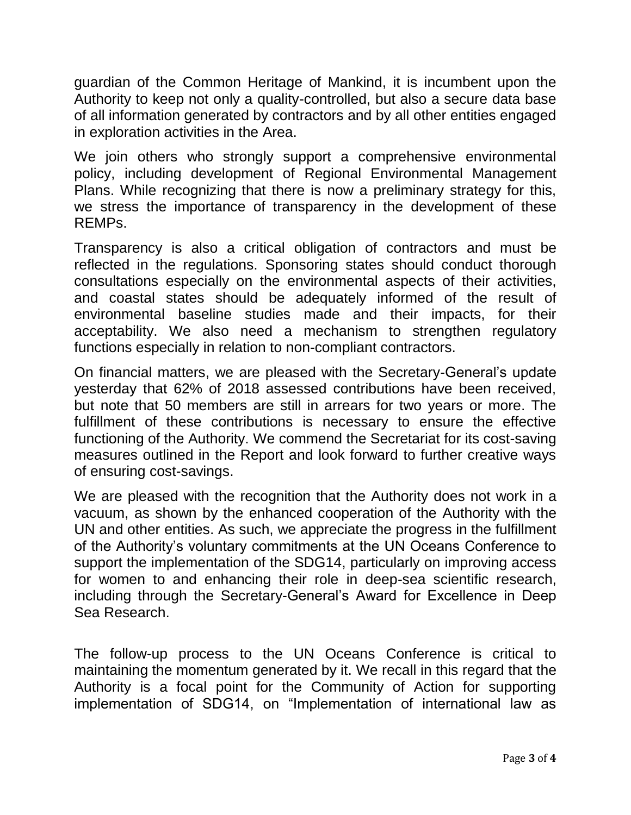guardian of the Common Heritage of Mankind, it is incumbent upon the Authority to keep not only a quality-controlled, but also a secure data base of all information generated by contractors and by all other entities engaged in exploration activities in the Area.

We join others who strongly support a comprehensive environmental policy, including development of Regional Environmental Management Plans. While recognizing that there is now a preliminary strategy for this, we stress the importance of transparency in the development of these REMPs.

Transparency is also a critical obligation of contractors and must be reflected in the regulations. Sponsoring states should conduct thorough consultations especially on the environmental aspects of their activities, and coastal states should be adequately informed of the result of environmental baseline studies made and their impacts, for their acceptability. We also need a mechanism to strengthen regulatory functions especially in relation to non-compliant contractors.

On financial matters, we are pleased with the Secretary-General's update yesterday that 62% of 2018 assessed contributions have been received, but note that 50 members are still in arrears for two years or more. The fulfillment of these contributions is necessary to ensure the effective functioning of the Authority. We commend the Secretariat for its cost-saving measures outlined in the Report and look forward to further creative ways of ensuring cost-savings.

We are pleased with the recognition that the Authority does not work in a vacuum, as shown by the enhanced cooperation of the Authority with the UN and other entities. As such, we appreciate the progress in the fulfillment of the Authority's voluntary commitments at the UN Oceans Conference to support the implementation of the SDG14, particularly on improving access for women to and enhancing their role in deep-sea scientific research, including through the Secretary-General's Award for Excellence in Deep Sea Research.

The follow-up process to the UN Oceans Conference is critical to maintaining the momentum generated by it. We recall in this regard that the Authority is a focal point for the Community of Action for supporting implementation of SDG14, on "Implementation of international law as